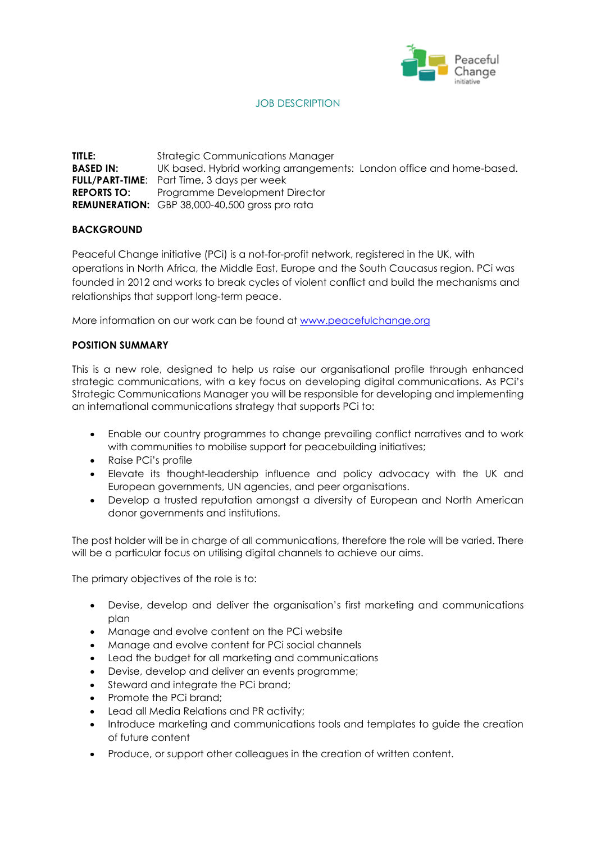

# JOB DESCRIPTION

**TITLE:** Strategic Communications Manager **BASED IN:** UK based. Hybrid working arrangements: London office and home-based. **FULL/PART-TIME**: Part Time, 3 days per week **REPORTS TO:** Programme Development Director **REMUNERATION:** GBP 38,000-40,500 gross pro rata

## **BACKGROUND**

Peaceful Change initiative (PCi) is a not-for-profit network, registered in the UK, with operations in North Africa, the Middle East, Europe and the South Caucasus region. PCi was founded in 2012 and works to break cycles of violent conflict and build the mechanisms and relationships that support long-term peace.

More information on our work can be found at [www.peacefulchange.org](http://www.peacefulchange.org/)

## **POSITION SUMMARY**

This is a new role, designed to help us raise our organisational profile through enhanced strategic communications, with a key focus on developing digital communications. As PCi's Strategic Communications Manager you will be responsible for developing and implementing an international communications strategy that supports PCi to:

- Enable our country programmes to change prevailing conflict narratives and to work with communities to mobilise support for peacebuilding initiatives;
- Raise PCi's profile
- Elevate its thought-leadership influence and policy advocacy with the UK and European governments, UN agencies, and peer organisations.
- Develop a trusted reputation amongst a diversity of European and North American donor governments and institutions.

The post holder will be in charge of all communications, therefore the role will be varied. There will be a particular focus on utilising digital channels to achieve our aims.

The primary objectives of the role is to:

- Devise, develop and deliver the organisation's first marketing and communications plan
- Manage and evolve content on the PCi website
- Manage and evolve content for PCi social channels
- Lead the budget for all marketing and communications
- Devise, develop and deliver an events programme;
- Steward and integrate the PCi brand:
- Promote the PCi brand;
- Lead all Media Relations and PR activity;
- Introduce marketing and communications tools and templates to guide the creation of future content
- Produce, or support other colleagues in the creation of written content.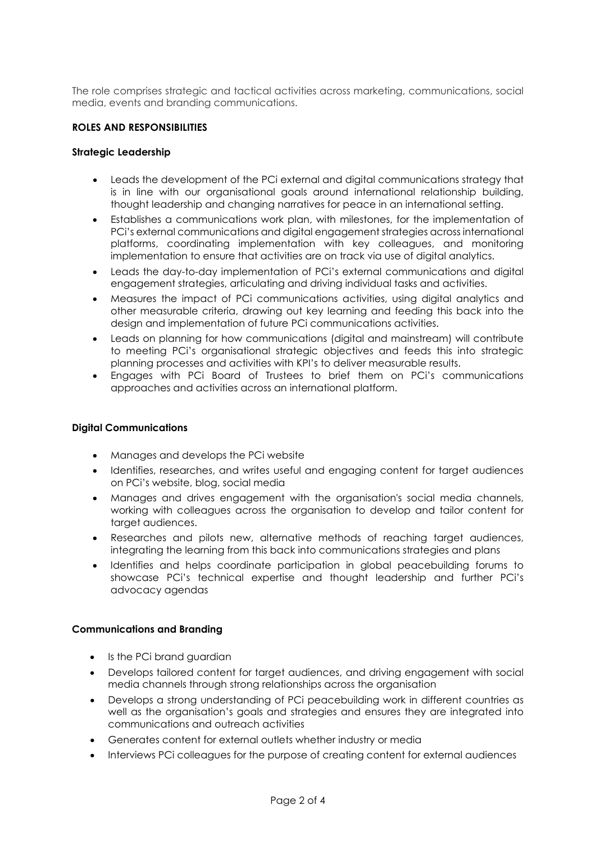The role comprises strategic and tactical activities across marketing, communications, social media, events and branding communications.

### **ROLES AND RESPONSIBILITIES**

#### **Strategic Leadership**

- Leads the development of the PCi external and digital communications strategy that is in line with our organisational goals around international relationship building, thought leadership and changing narratives for peace in an international setting.
- Establishes a communications work plan, with milestones, for the implementation of PCi's external communications and digital engagement strategies across international platforms, coordinating implementation with key colleagues, and monitoring implementation to ensure that activities are on track via use of digital analytics.
- Leads the day-to-day implementation of PCi's external communications and digital engagement strategies, articulating and driving individual tasks and activities.
- Measures the impact of PCi communications activities, using digital analytics and other measurable criteria, drawing out key learning and feeding this back into the design and implementation of future PCi communications activities.
- Leads on planning for how communications (digital and mainstream) will contribute to meeting PCi's organisational strategic objectives and feeds this into strategic planning processes and activities with KPI's to deliver measurable results.
- Engages with PCi Board of Trustees to brief them on PCi's communications approaches and activities across an international platform.

### **Digital Communications**

- Manages and develops the PCi website
- Identifies, researches, and writes useful and engaging content for target audiences on PCi's website, blog, social media
- Manages and drives engagement with the organisation's social media channels, working with colleagues across the organisation to develop and tailor content for target audiences.
- Researches and pilots new, alternative methods of reaching target audiences, integrating the learning from this back into communications strategies and plans
- Identifies and helps coordinate participation in global peacebuilding forums to showcase PCi's technical expertise and thought leadership and further PCi's advocacy agendas

### **Communications and Branding**

- Is the PCi brand guardian
- Develops tailored content for target audiences, and driving engagement with social media channels through strong relationships across the organisation
- Develops a strong understanding of PCi peacebuilding work in different countries as well as the organisation's goals and strategies and ensures they are integrated into communications and outreach activities
- Generates content for external outlets whether industry or media
- Interviews PCi colleagues for the purpose of creating content for external audiences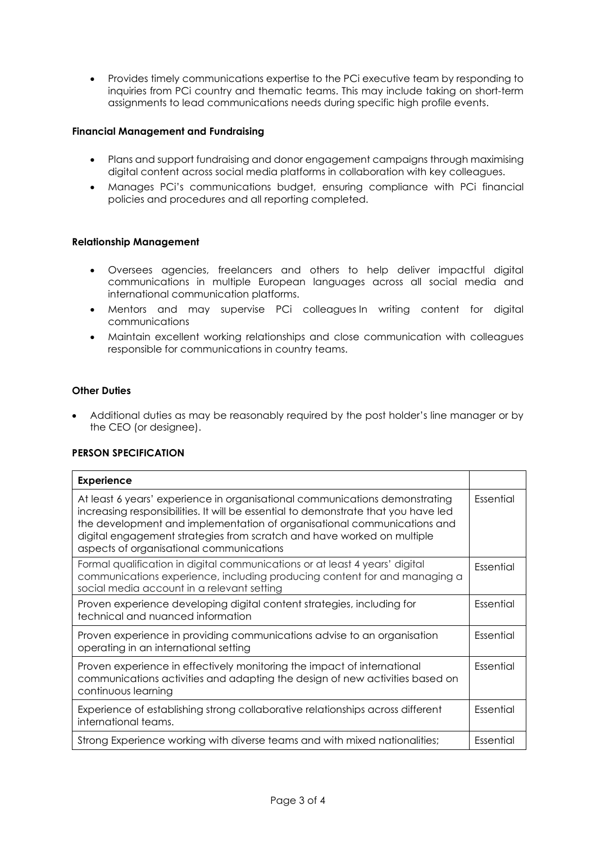• Provides timely communications expertise to the PCi executive team by responding to inquiries from PCi country and thematic teams. This may include taking on short-term assignments to lead communications needs during specific high profile events.

## **Financial Management and Fundraising**

- Plans and support fundraising and donor engagement campaigns through maximising digital content across social media platforms in collaboration with key colleagues.
- Manages PCi's communications budget, ensuring compliance with PCi financial policies and procedures and all reporting completed.

## **Relationship Management**

- Oversees agencies, freelancers and others to help deliver impactful digital communications in multiple European languages across all social media and international communication platforms.
- Mentors and may supervise PCi colleagues In writing content for digital communications
- Maintain excellent working relationships and close communication with colleagues responsible for communications in country teams.

## **Other Duties**

• Additional duties as may be reasonably required by the post holder's line manager or by the CEO (or designee).

## **PERSON SPECIFICATION**

| <b>Experience</b>                                                                                                                                                                                                                                                                                                                                                  |           |
|--------------------------------------------------------------------------------------------------------------------------------------------------------------------------------------------------------------------------------------------------------------------------------------------------------------------------------------------------------------------|-----------|
| At least 6 years' experience in organisational communications demonstrating<br>increasing responsibilities. It will be essential to demonstrate that you have led<br>the development and implementation of organisational communications and<br>digital engagement strategies from scratch and have worked on multiple<br>aspects of organisational communications | Essential |
| Formal qualification in digital communications or at least 4 years' digital<br>communications experience, including producing content for and managing a<br>social media account in a relevant setting                                                                                                                                                             | Essential |
| Proven experience developing digital content strategies, including for<br>technical and nuanced information                                                                                                                                                                                                                                                        | Essential |
| Proven experience in providing communications advise to an organisation<br>operating in an international setting                                                                                                                                                                                                                                                   | Essential |
| Proven experience in effectively monitoring the impact of international<br>communications activities and adapting the design of new activities based on<br>continuous learning                                                                                                                                                                                     | Essential |
| Experience of establishing strong collaborative relationships across different<br>international teams.                                                                                                                                                                                                                                                             | Essential |
| Strong Experience working with diverse teams and with mixed nationalities;                                                                                                                                                                                                                                                                                         | Essential |